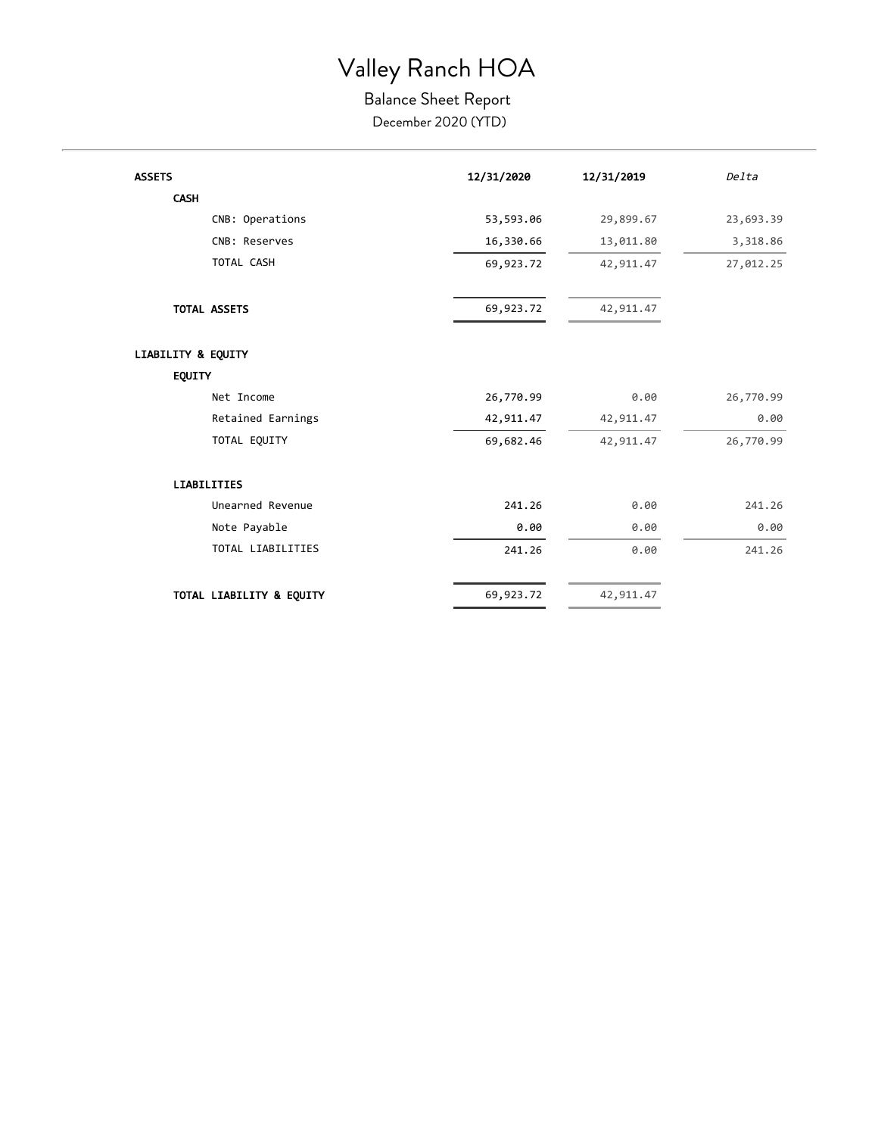### Valley Ranch HOA

#### Balance Sheet Report December 2020 (YTD)

| <b>ASSETS</b>            | 12/31/2020 | 12/31/2019 | Delta     |
|--------------------------|------------|------------|-----------|
| <b>CASH</b>              |            |            |           |
| CNB: Operations          | 53,593.06  | 29,899.67  | 23,693.39 |
| CNB: Reserves            | 16,330.66  | 13,011.80  | 3,318.86  |
| TOTAL CASH               | 69,923.72  | 42,911.47  | 27,012.25 |
| <b>TOTAL ASSETS</b>      | 69,923.72  | 42,911.47  |           |
| LIABILITY & EQUITY       |            |            |           |
| <b>EQUITY</b>            |            |            |           |
| Net Income               | 26,770.99  | 0.00       | 26,770.99 |
| Retained Earnings        | 42,911.47  | 42,911.47  | 0.00      |
| TOTAL EQUITY             | 69,682.46  | 42,911.47  | 26,770.99 |
| <b>LIABILITIES</b>       |            |            |           |
| Unearned Revenue         | 241.26     | 0.00       | 241.26    |
| Note Payable             | 0.00       | 0.00       | 0.00      |
| TOTAL LIABILITIES        | 241.26     | 0.00       | 241.26    |
| TOTAL LIABILITY & EQUITY | 69,923.72  | 42,911.47  |           |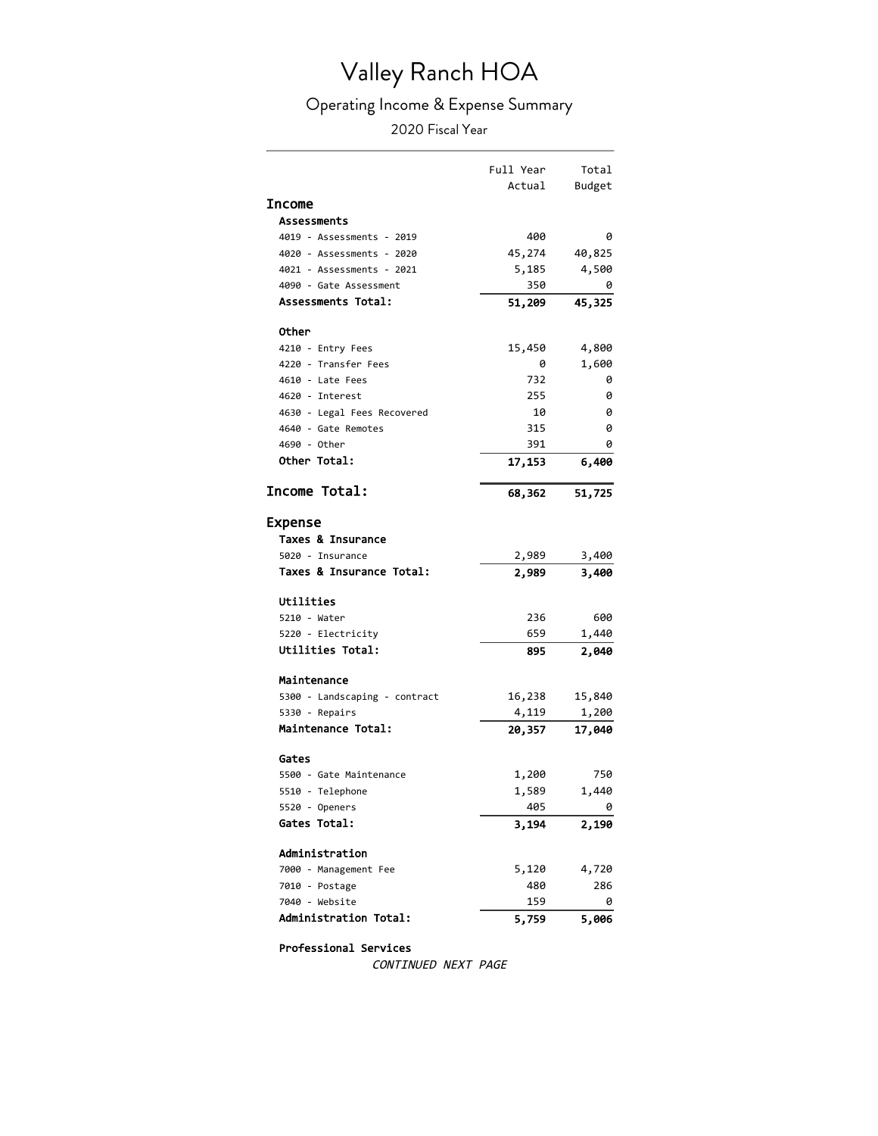# Valley Ranch HOA

### Operating Income & Expense Summary

2020 Fiscal Year

|                               | Full Year | Total  |
|-------------------------------|-----------|--------|
|                               | Actual    | Budget |
| <b>Income</b>                 |           |        |
| <b>Assessments</b>            |           |        |
| 4019 - Assessments - 2019     | 400       | 0      |
| 4020 - Assessments - 2020     | 45,274    | 40,825 |
| 4021 - Assessments - 2021     | 5,185     | 4,500  |
| 4090 - Gate Assessment        | 350       | 0      |
| Assessments Total:            | 51,209    | 45,325 |
|                               |           |        |
| Other                         |           |        |
| 4210 - Entry Fees             | 15,450    | 4,800  |
| 4220 - Transfer Fees          | 0         | 1,600  |
| 4610 - Late Fees              | 732       | 0      |
| 4620 - Interest               | 255       | 0      |
| 4630 - Legal Fees Recovered   | 10        | 0      |
| 4640 - Gate Remotes           | 315       | 0      |
| 4690 - Other                  | 391       | 0      |
| Other Total:                  | 17,153    | 6,400  |
| Income Total:                 |           | 51,725 |
|                               | 68,362    |        |
| Expense                       |           |        |
| Taxes & Insurance             |           |        |
| 5020 - Insurance              | 2,989     | 3,400  |
| Taxes & Insurance Total:      | 2,989     | 3,400  |
|                               |           |        |
| Utilities                     |           |        |
| 5210 - Water                  | 236       | 600    |
| 5220 - Electricity            | 659       | 1,440  |
| <b>Utilities Total:</b>       | 895       | 2,040  |
|                               |           |        |
| Maintenance                   |           |        |
| 5300 - Landscaping - contract | 16,238    | 15,840 |
| 5330 - Repairs                | 4,119     | 1,200  |
| Maintenance Total:            | 20,357    | 17,040 |
| Gates                         |           |        |
| 5500 - Gate Maintenance       | 1,200     | 750    |
| 5510 - Telephone              | 1,589     | 1,440  |
| 5520 - Openers                | 405       | 0      |
| Gates Total:                  | 3,194     | 2,190  |
|                               |           |        |
| Administration                |           |        |
| 7000 - Management Fee         | 5,120     | 4,720  |
| 7010 - Postage                | 480       | 286    |
| 7040 - Website                | 159       | 0      |
| Administration Total:         | 5,759     | 5,006  |

Professional Services

CONTINUED NEXT PAGE